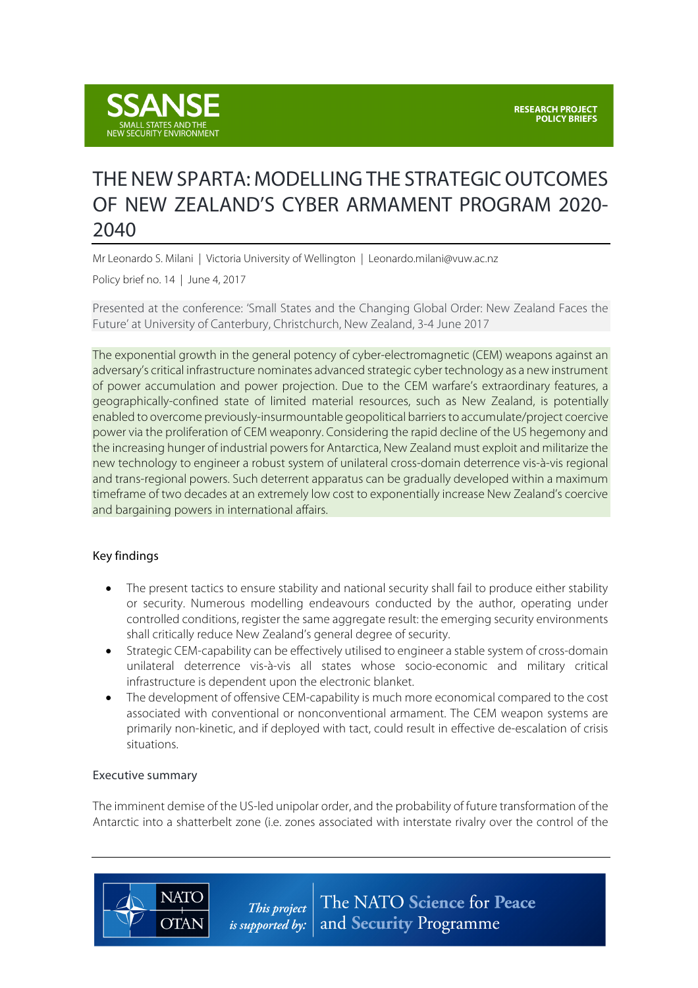

# THE NEW SPARTA: MODELLING THE STRATEGIC OUTCOMES OF NEW ZEALAND'S CYBER ARMAMENT PROGRAM 2020- 2040

Mr Leonardo S. Milani | Victoria University of Wellington | Leonardo.milani@vuw.ac.nz

Policy brief no. 14 | June 4, 2017

Presented at the conference: 'Small States and the Changing Global Order: New Zealand Faces the Future' at University of Canterbury, Christchurch, New Zealand, 3-4 June 2017

The exponential growth in the general potency of cyber-electromagnetic (CEM) weapons against an adversary's critical infrastructure nominates advanced strategic cyber technology as a new instrument of power accumulation and power projection. Due to the CEM warfare's extraordinary features, a geographically-confined state of limited material resources, such as New Zealand, is potentially enabled to overcome previously-insurmountable geopolitical barriers to accumulate/project coercive power via the proliferation of CEM weaponry. Considering the rapid decline of the US hegemony and the increasing hunger of industrial powers for Antarctica, New Zealand must exploit and militarize the new technology to engineer a robust system of unilateral cross-domain deterrence vis-à-vis regional and trans-regional powers. Such deterrent apparatus can be gradually developed within a maximum timeframe of two decades at an extremely low cost to exponentially increase New Zealand's coercive and bargaining powers in international affairs.

#### Key findings

- The present tactics to ensure stability and national security shall fail to produce either stability or security. Numerous modelling endeavours conducted by the author, operating under controlled conditions, register the same aggregate result: the emerging security environments shall critically reduce New Zealand's general degree of security.
- Strategic CEM-capability can be effectively utilised to engineer a stable system of cross-domain unilateral deterrence vis-à-vis all states whose socio-economic and military critical infrastructure is dependent upon the electronic blanket.
- The development of offensive CEM-capability is much more economical compared to the cost associated with conventional or nonconventional armament. The CEM weapon systems are primarily non-kinetic, and if deployed with tact, could result in effective de-escalation of crisis situations.

#### Executive summary

**NATO** 

**OTAN** 

The imminent demise of the US-led unipolar order, and the probability of future transformation of the Antarctic into a shatterbelt zone (i.e. zones associated with interstate rivalry over the control of the

> The NATO Science for Peace This project and Security Programme *is supported by:*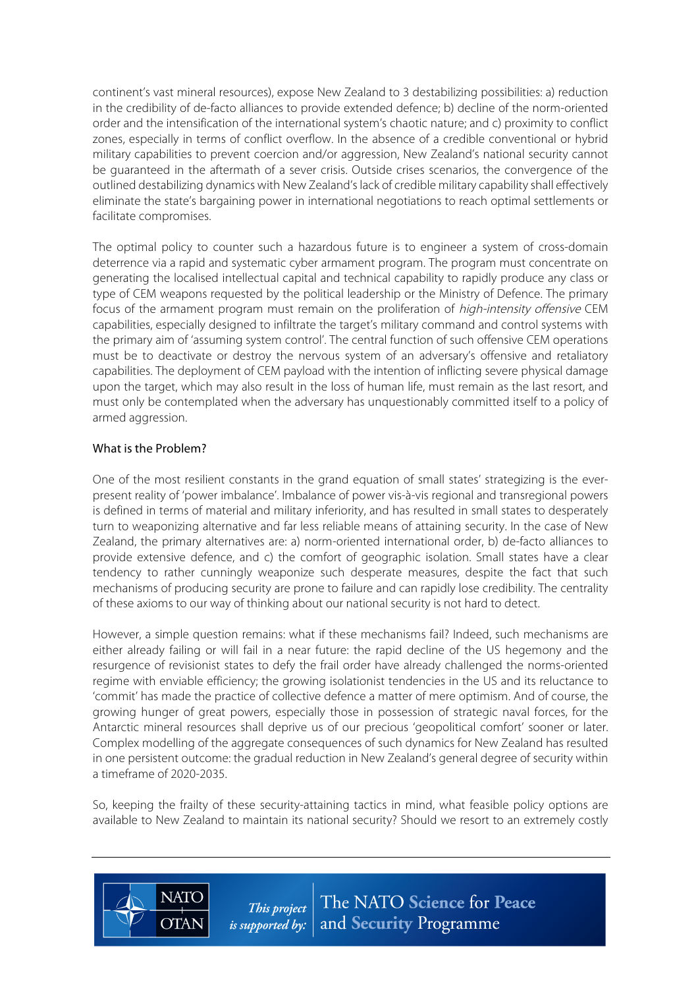continent's vast mineral resources), expose New Zealand to 3 destabilizing possibilities: a) reduction in the credibility of de-facto alliances to provide extended defence; b) decline of the norm-oriented order and the intensification of the international system's chaotic nature; and c) proximity to conflict zones, especially in terms of conflict overflow. In the absence of a credible conventional or hybrid military capabilities to prevent coercion and/or aggression, New Zealand's national security cannot be guaranteed in the aftermath of a sever crisis. Outside crises scenarios, the convergence of the outlined destabilizing dynamics with New Zealand's lack of credible military capability shall effectively eliminate the state's bargaining power in international negotiations to reach optimal settlements or facilitate compromises.

The optimal policy to counter such a hazardous future is to engineer a system of cross-domain deterrence via a rapid and systematic cyber armament program. The program must concentrate on generating the localised intellectual capital and technical capability to rapidly produce any class or type of CEM weapons requested by the political leadership or the Ministry of Defence. The primary focus of the armament program must remain on the proliferation of high-intensity offensive CEM capabilities, especially designed to infiltrate the target's military command and control systems with the primary aim of 'assuming system control'. The central function of such offensive CEM operations must be to deactivate or destroy the nervous system of an adversary's offensive and retaliatory capabilities. The deployment of CEM payload with the intention of inflicting severe physical damage upon the target, which may also result in the loss of human life, must remain as the last resort, and must only be contemplated when the adversary has unquestionably committed itself to a policy of armed aggression.

#### What is the Problem?

**NATC** 

**OTAN** 

One of the most resilient constants in the grand equation of small states' strategizing is the everpresent reality of 'power imbalance'. Imbalance of power vis-à-vis regional and transregional powers is defined in terms of material and military inferiority, and has resulted in small states to desperately turn to weaponizing alternative and far less reliable means of attaining security. In the case of New Zealand, the primary alternatives are: a) norm-oriented international order, b) de-facto alliances to provide extensive defence, and c) the comfort of geographic isolation. Small states have a clear tendency to rather cunningly weaponize such desperate measures, despite the fact that such mechanisms of producing security are prone to failure and can rapidly lose credibility. The centrality of these axioms to our way of thinking about our national security is not hard to detect.

However, a simple question remains: what if these mechanisms fail? Indeed, such mechanisms are either already failing or will fail in a near future: the rapid decline of the US hegemony and the resurgence of revisionist states to defy the frail order have already challenged the norms-oriented regime with enviable efficiency; the growing isolationist tendencies in the US and its reluctance to 'commit' has made the practice of collective defence a matter of mere optimism. And of course, the growing hunger of great powers, especially those in possession of strategic naval forces, for the Antarctic mineral resources shall deprive us of our precious 'geopolitical comfort' sooner or later. Complex modelling of the aggregate consequences of such dynamics for New Zealand has resulted in one persistent outcome: the gradual reduction in New Zealand's general degree of security within a timeframe of 2020-2035.

So, keeping the frailty of these security-attaining tactics in mind, what feasible policy options are available to New Zealand to maintain its national security? Should we resort to an extremely costly

> The NATO Science for Peace This project *is supported by:*  $|$  and **Security** Programme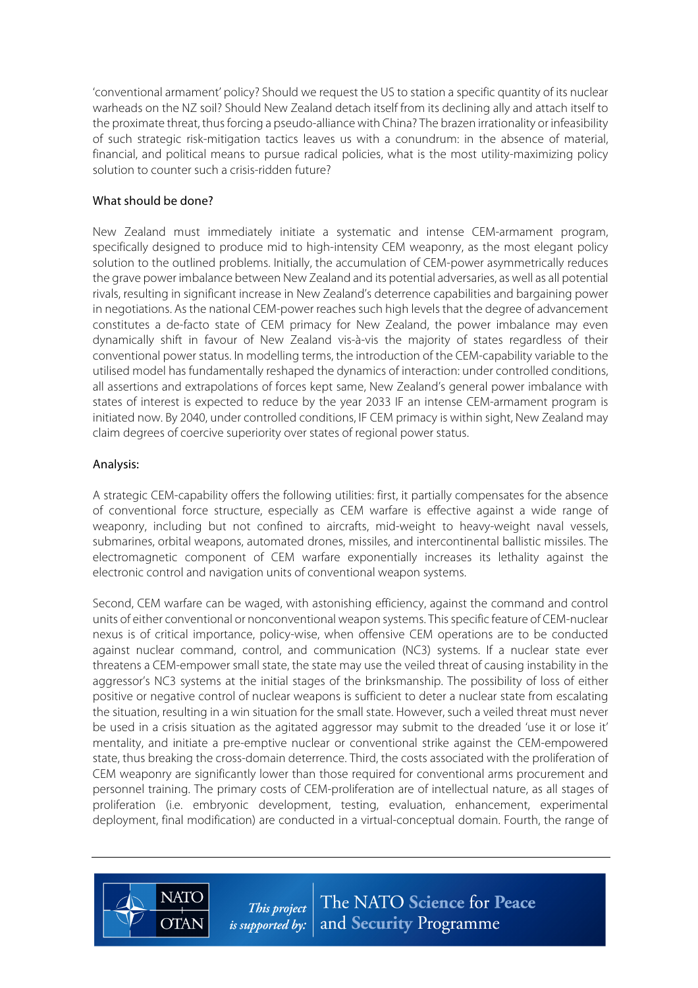'conventional armament' policy? Should we request the US to station a specific quantity of its nuclear warheads on the NZ soil? Should New Zealand detach itself from its declining ally and attach itself to the proximate threat, thusforcing a pseudo-alliance with China? The brazen irrationality or infeasibility of such strategic risk-mitigation tactics leaves us with a conundrum: in the absence of material, financial, and political means to pursue radical policies, what is the most utility-maximizing policy solution to counter such a crisis-ridden future?

### What should be done?

New Zealand must immediately initiate a systematic and intense CEM-armament program, specifically designed to produce mid to high-intensity CEM weaponry, as the most elegant policy solution to the outlined problems. Initially, the accumulation of CEM-power asymmetrically reduces the grave power imbalance between New Zealand and its potential adversaries, as well as all potential rivals, resulting in significant increase in New Zealand's deterrence capabilities and bargaining power in negotiations. As the national CEM-power reaches such high levels that the degree of advancement constitutes a de-facto state of CEM primacy for New Zealand, the power imbalance may even dynamically shift in favour of New Zealand vis-à-vis the majority of states regardless of their conventional power status. In modelling terms, the introduction of the CEM-capability variable to the utilised model has fundamentally reshaped the dynamics of interaction: under controlled conditions, all assertions and extrapolations of forces kept same, New Zealand's general power imbalance with states of interest is expected to reduce by the year 2033 IF an intense CEM-armament program is initiated now. By 2040, under controlled conditions, IF CEM primacy is within sight, New Zealand may claim degrees of coercive superiority over states of regional power status.

## Analysis:

A strategic CEM-capability offers the following utilities: first, it partially compensates for the absence of conventional force structure, especially as CEM warfare is effective against a wide range of weaponry, including but not confined to aircrafts, mid-weight to heavy-weight naval vessels, submarines, orbital weapons, automated drones, missiles, and intercontinental ballistic missiles. The electromagnetic component of CEM warfare exponentially increases its lethality against the electronic control and navigation units of conventional weapon systems.

Second, CEM warfare can be waged, with astonishing efficiency, against the command and control units of either conventional or nonconventional weapon systems. This specific feature of CEM-nuclear nexus is of critical importance, policy-wise, when offensive CEM operations are to be conducted against nuclear command, control, and communication (NC3) systems. If a nuclear state ever threatens a CEM-empower small state, the state may use the veiled threat of causing instability in the aggressor's NC3 systems at the initial stages of the brinksmanship. The possibility of loss of either positive or negative control of nuclear weapons is sufficient to deter a nuclear state from escalating the situation, resulting in a win situation for the small state. However, such a veiled threat must never be used in a crisis situation as the agitated aggressor may submit to the dreaded 'use it or lose it' mentality, and initiate a pre-emptive nuclear or conventional strike against the CEM-empowered state, thus breaking the cross-domain deterrence. Third, the costs associated with the proliferation of CEM weaponry are significantly lower than those required for conventional arms procurement and personnel training. The primary costs of CEM-proliferation are of intellectual nature, as all stages of proliferation (i.e. embryonic development, testing, evaluation, enhancement, experimental deployment, final modification) are conducted in a virtual-conceptual domain. Fourth, the range of



The NATO Science for Peace This project *is supported by:*  $\vert$  and **Security** Programme